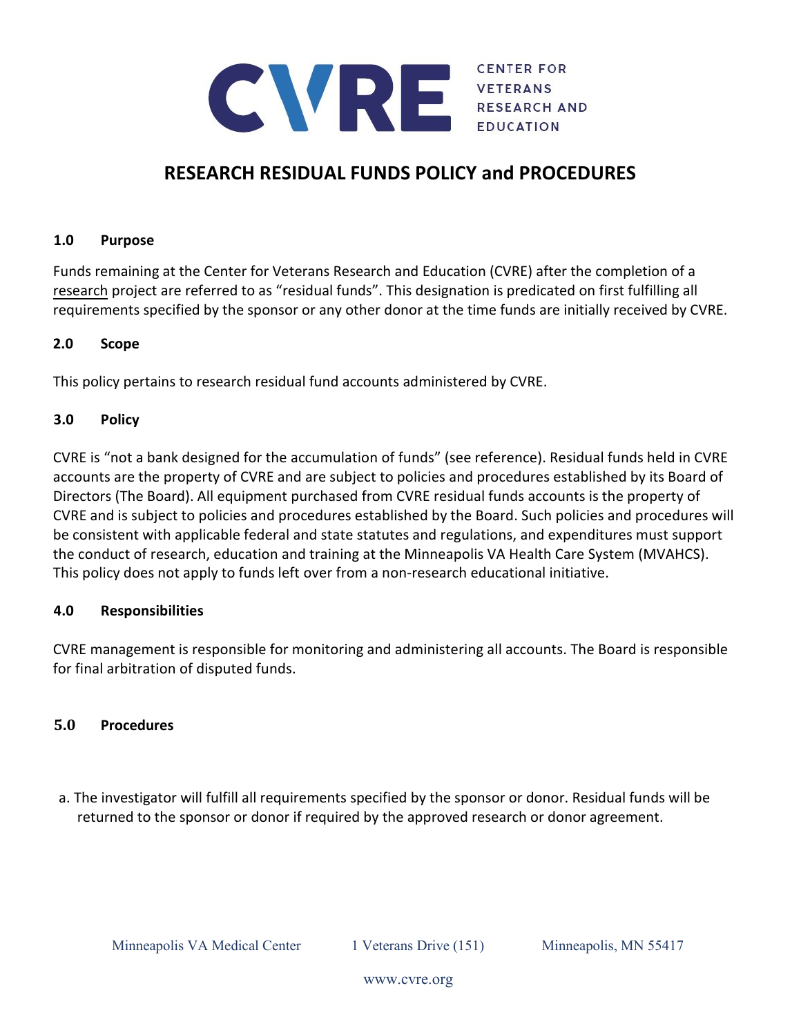

# **RESEARCH RESIDUAL FUNDS POLICY and PROCEDURES**

### **1.0 Purpose**

Funds remaining at the Center for Veterans Research and Education (CVRE) after the completion of a research project are referred to as "residual funds". This designation is predicated on first fulfilling all requirements specified by the sponsor or any other donor at the time funds are initially received by CVRE.

### **2.0 Scope**

This policy pertains to research residual fund accounts administered by CVRE.

### **3.0 Policy**

CVRE is "not a bank designed for the accumulation of funds" (see reference). Residual funds held in CVRE accounts are the property of CVRE and are subject to policies and procedures established by its Board of Directors (The Board). All equipment purchased from CVRE residual funds accounts is the property of CVRE and is subject to policies and procedures established by the Board. Such policies and procedures will be consistent with applicable federal and state statutes and regulations, and expenditures must support the conduct of research, education and training at the Minneapolis VA Health Care System (MVAHCS). This policy does not apply to funds left over from a non-research educational initiative.

# **4.0 Responsibilities**

CVRE management is responsible for monitoring and administering all accounts. The Board is responsible for final arbitration of disputed funds.

# **5.0 Procedures**

a. The investigator will fulfill all requirements specified by the sponsor or donor. Residual funds will be returned to the sponsor or donor if required by the approved research or donor agreement.